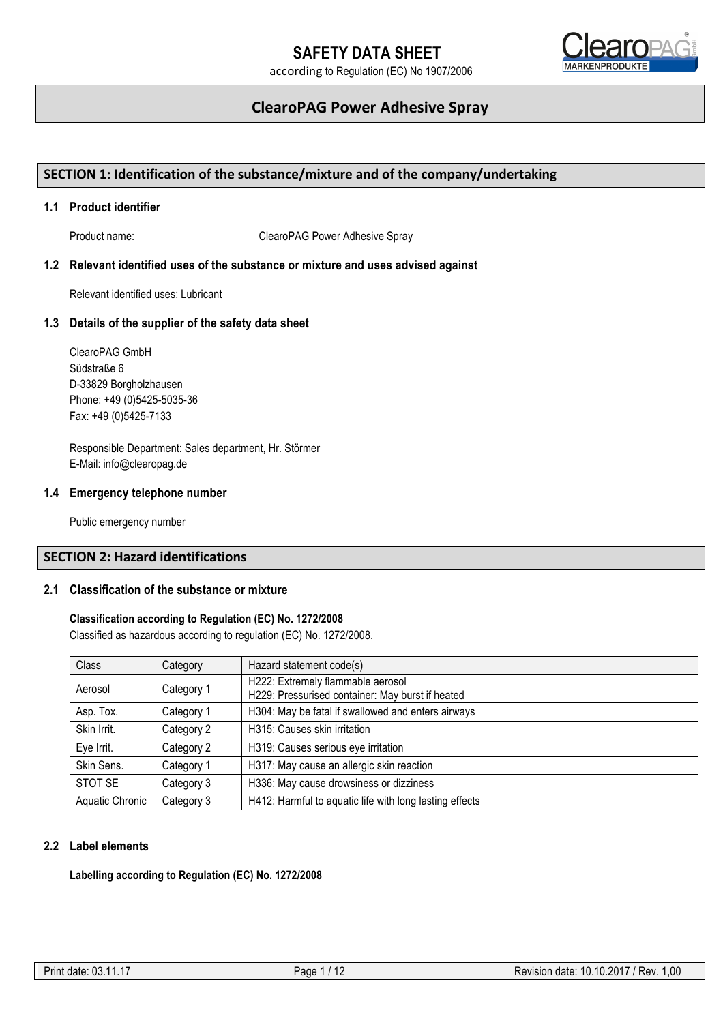

## **ClearoPAG Power Adhesive Spray**

## **SECTION 1: Identification of the substance/mixture and of the company/undertaking**

## **1.1 Product identifier**

Product name: ClearoPAG Power Adhesive Spray

## **1.2 Relevant identified uses of the substance or mixture and uses advised against**

Relevant identified uses: Lubricant

### **1.3 Details of the supplier of the safety data sheet**

ClearoPAG GmbH Südstraße 6 D-33829 Borgholzhausen Phone: +49 (0)5425-5035-36 Fax: +49 (0)5425-7133

Responsible Department: Sales department, Hr. Störmer E-Mail: info@clearopag.de

#### **1.4 Emergency telephone number**

Public emergency number

## **SECTION 2: Hazard identifications**

## **2.1 Classification of the substance or mixture**

## **Classification according to Regulation (EC) No. 1272/2008**

Classified as hazardous according to regulation (EC) No. 1272/2008.

| Class           | Category   | Hazard statement code(s)                                                              |
|-----------------|------------|---------------------------------------------------------------------------------------|
| Aerosol         | Category 1 | H222: Extremely flammable aerosol<br>H229: Pressurised container: May burst if heated |
| Asp. Tox.       | Category 1 | H304: May be fatal if swallowed and enters airways                                    |
| Skin Irrit.     | Category 2 | H315: Causes skin irritation                                                          |
| Eye Irrit.      | Category 2 | H319: Causes serious eye irritation                                                   |
| Skin Sens.      | Category 1 | H317: May cause an allergic skin reaction                                             |
| STOT SE         | Category 3 | H336: May cause drowsiness or dizziness                                               |
| Aquatic Chronic | Category 3 | H412: Harmful to aquatic life with long lasting effects                               |

## **2.2 Label elements**

**Labelling according to Regulation (EC) No. 1272/2008**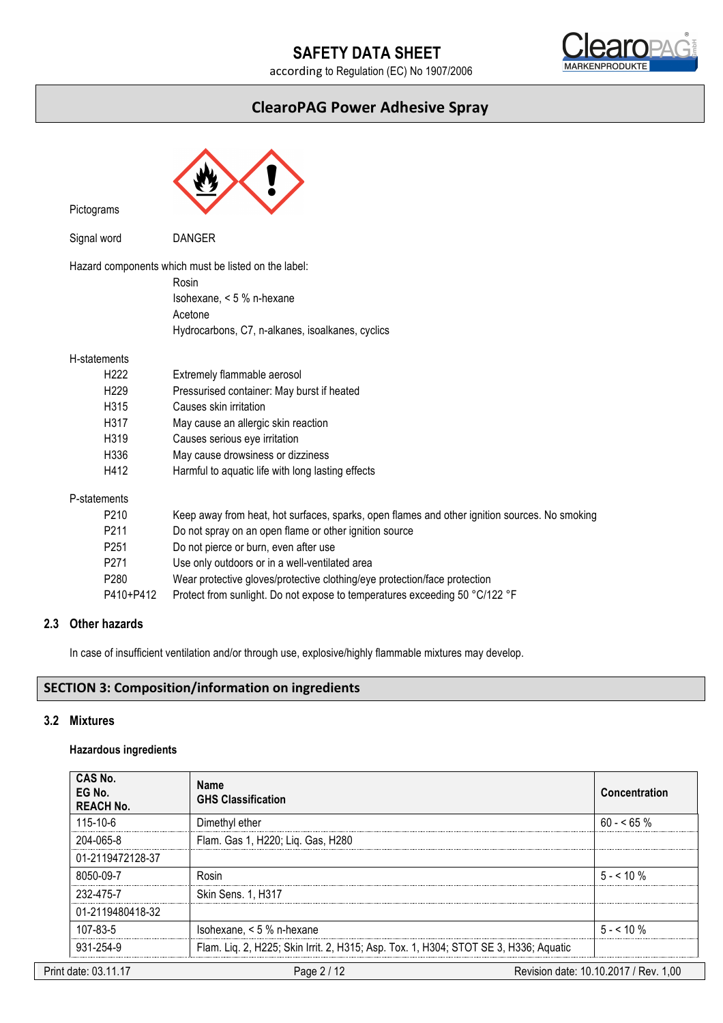# **SAFETY DATA SHEET**

according to Regulation (EC) No 1907/2006



## **ClearoPAG Power Adhesive Spray**

| Pictograms   |                  |                                                                                                                                                           |
|--------------|------------------|-----------------------------------------------------------------------------------------------------------------------------------------------------------|
| Signal word  |                  | <b>DANGER</b>                                                                                                                                             |
|              |                  | Hazard components which must be listed on the label:<br>Rosin<br>Isohexane, < 5 % n-hexane<br>Acetone<br>Hydrocarbons, C7, n-alkanes, isoalkanes, cyclics |
| H-statements |                  |                                                                                                                                                           |
|              | H <sub>222</sub> | Extremely flammable aerosol                                                                                                                               |
|              | H <sub>229</sub> | Pressurised container: May burst if heated                                                                                                                |
|              | H315             | Causes skin irritation                                                                                                                                    |
|              | H317             | May cause an allergic skin reaction                                                                                                                       |
|              | H319             | Causes serious eye irritation                                                                                                                             |
|              | H336             | May cause drowsiness or dizziness                                                                                                                         |
|              | H412             | Harmful to aquatic life with long lasting effects                                                                                                         |
| P-statements |                  |                                                                                                                                                           |
|              | P <sub>210</sub> | Keep away from heat, hot surfaces, sparks, open flames and other ignition sources. No smoking                                                             |
|              | P <sub>211</sub> | Do not spray on an open flame or other ignition source                                                                                                    |
|              | P251             | Do not pierce or burn, even after use                                                                                                                     |
|              | P <sub>271</sub> | Use only outdoors or in a well-ventilated area                                                                                                            |
|              | P280             | Wear protective gloves/protective clothing/eye protection/face protection                                                                                 |
|              | P410+P412        | Protect from sunlight. Do not expose to temperatures exceeding 50 °C/122 °F                                                                               |

## **2.3 Other hazards**

In case of insufficient ventilation and/or through use, explosive/highly flammable mixtures may develop.

## **SECTION 3: Composition/information on ingredients**

## **3.2 Mixtures**

## **Hazardous ingredients**

| CAS No.<br>EG No.<br><b>REACH No.</b> | <b>Name</b><br><b>GHS Classification</b>                                             | Concentration                         |
|---------------------------------------|--------------------------------------------------------------------------------------|---------------------------------------|
| $115 - 10 - 6$                        | Dimethyl ether                                                                       | $60 - 55 \%$                          |
| 204-065-8                             | Flam. Gas 1, H220; Liq. Gas, H280                                                    |                                       |
| 01-2119472128-37                      |                                                                                      |                                       |
| 8050-09-7                             | Rosin                                                                                | $5 - 10\%$                            |
| 232-475-7                             | Skin Sens. 1, H317                                                                   |                                       |
| 01-2119480418-32                      |                                                                                      |                                       |
| $107 - 83 - 5$                        | Isohexane, $< 5 %$ n-hexane                                                          | $5 - 510 \%$                          |
| 931-254-9                             | Flam. Liq. 2, H225; Skin Irrit. 2, H315; Asp. Tox. 1, H304; STOT SE 3, H336; Aquatic |                                       |
| Print date: 03.11.17                  | Page 2 / 12                                                                          | Revision date: 10.10.2017 / Rev. 1,00 |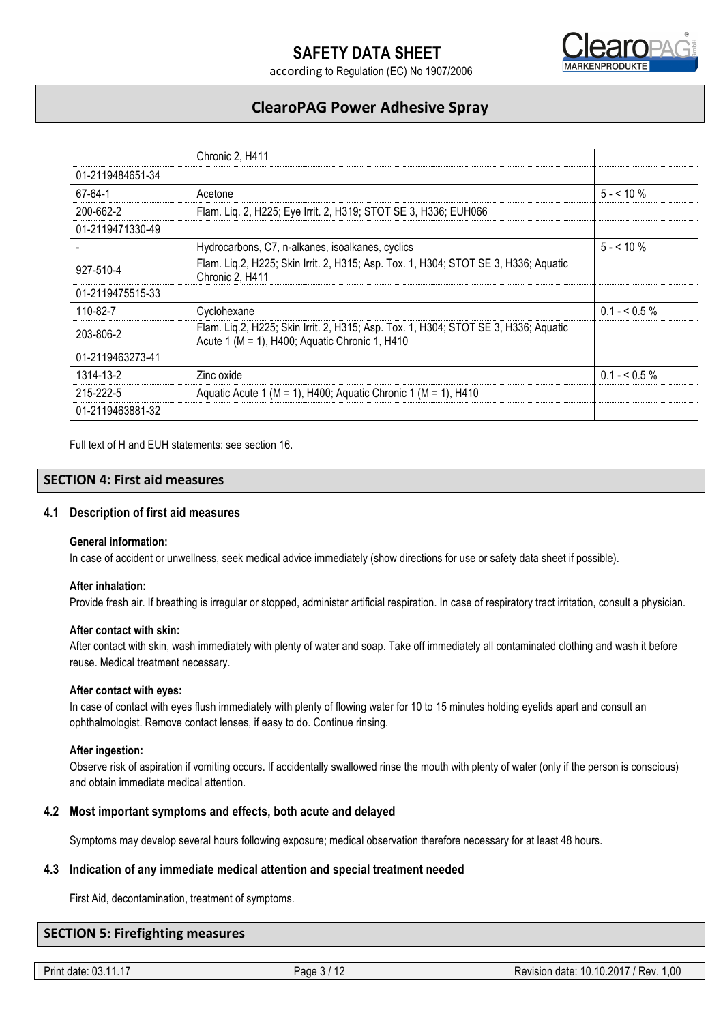



## **ClearoPAG Power Adhesive Spray**

|                  | Chronic 2. H411                                                                                                                           |             |
|------------------|-------------------------------------------------------------------------------------------------------------------------------------------|-------------|
| 01-2119484651-34 |                                                                                                                                           |             |
| 67-64-1          | Acetone                                                                                                                                   | $5 - 10\%$  |
| 200-662-2        | Flam. Liq. 2, H225; Eye Irrit. 2, H319; STOT SE 3, H336; EUH066                                                                           |             |
| 01-2119471330-49 |                                                                                                                                           |             |
|                  | Hydrocarbons, C7, n-alkanes, isoalkanes, cyclics                                                                                          | $5 - 10\%$  |
| 927-510-4        | Flam. Liq.2, H225; Skin Irrit. 2, H315; Asp. Tox. 1, H304; STOT SE 3, H336; Aquatic<br>Chronic 2, H411                                    |             |
| 01-2119475515-33 |                                                                                                                                           |             |
| 110-82-7         | Cyclohexane                                                                                                                               | $0.1 - 5\%$ |
| 203-806-2        | Flam. Lig.2, H225; Skin Irrit. 2, H315; Asp. Tox. 1, H304; STOT SE 3, H336; Aquatic<br>Acute 1 ( $M = 1$ ), H400; Aquatic Chronic 1, H410 |             |
| 01-2119463273-41 |                                                                                                                                           |             |
| 1314-13-2        | Zinc oxide                                                                                                                                | $0.1 - 5\%$ |
| 215-222-5        | Aquatic Acute 1 (M = 1), H400; Aquatic Chronic 1 (M = 1), H410                                                                            |             |
| 01-2119463881-32 |                                                                                                                                           |             |

Full text of H and EUH statements: see section 16.

## **SECTION 4: First aid measures**

### **4.1 Description of first aid measures**

#### **General information:**

In case of accident or unwellness, seek medical advice immediately (show directions for use or safety data sheet if possible).

#### **After inhalation:**

Provide fresh air. If breathing is irregular or stopped, administer artificial respiration. In case of respiratory tract irritation, consult a physician.

#### **After contact with skin:**

After contact with skin, wash immediately with plenty of water and soap. Take off immediately all contaminated clothing and wash it before reuse. Medical treatment necessary.

#### **After contact with eyes:**

In case of contact with eyes flush immediately with plenty of flowing water for 10 to 15 minutes holding eyelids apart and consult an ophthalmologist. Remove contact lenses, if easy to do. Continue rinsing.

#### **After ingestion:**

Observe risk of aspiration if vomiting occurs. If accidentally swallowed rinse the mouth with plenty of water (only if the person is conscious) and obtain immediate medical attention.

#### **4.2 Most important symptoms and effects, both acute and delayed**

Symptoms may develop several hours following exposure; medical observation therefore necessary for at least 48 hours.

### **4.3 Indication of any immediate medical attention and special treatment needed**

First Aid, decontamination, treatment of symptoms.

#### **SECTION 5: Firefighting measures**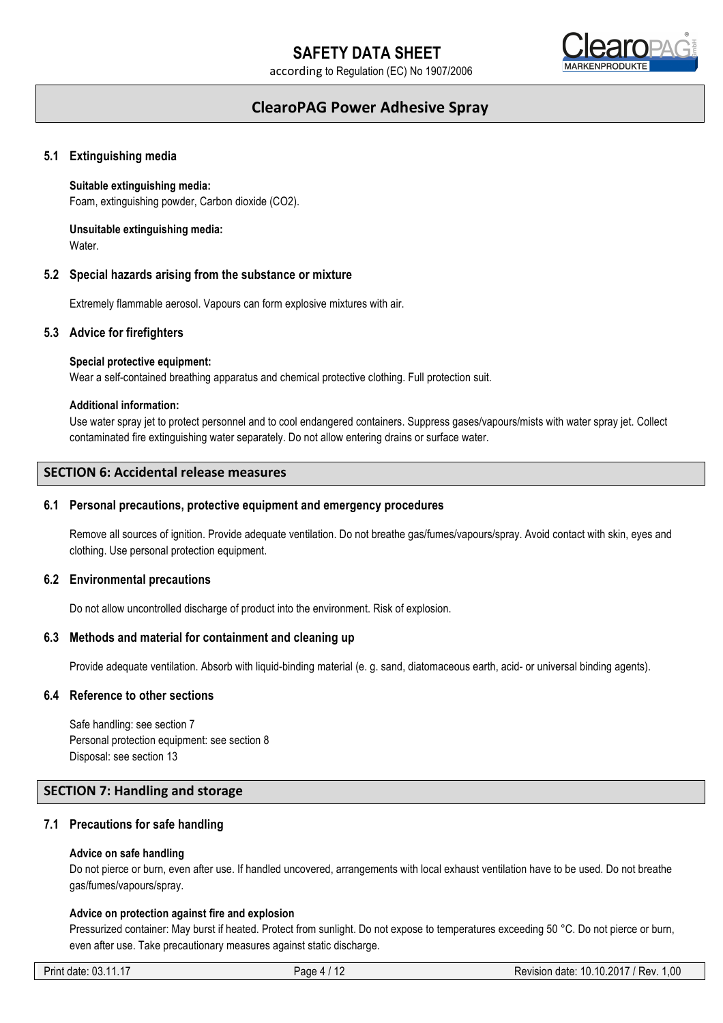

## **ClearoPAG Power Adhesive Spray**

#### **5.1 Extinguishing media**

#### **Suitable extinguishing media:**

Foam, extinguishing powder, Carbon dioxide (CO2).

## **Unsuitable extinguishing media:**

Water.

#### **5.2 Special hazards arising from the substance or mixture**

Extremely flammable aerosol. Vapours can form explosive mixtures with air.

#### **5.3 Advice for firefighters**

#### **Special protective equipment:**

Wear a self-contained breathing apparatus and chemical protective clothing. Full protection suit.

#### **Additional information:**

Use water spray jet to protect personnel and to cool endangered containers. Suppress gases/vapours/mists with water spray jet. Collect contaminated fire extinguishing water separately. Do not allow entering drains or surface water.

## **SECTION 6: Accidental release measures**

#### **6.1 Personal precautions, protective equipment and emergency procedures**

Remove all sources of ignition. Provide adequate ventilation. Do not breathe gas/fumes/vapours/spray. Avoid contact with skin, eyes and clothing. Use personal protection equipment.

#### **6.2 Environmental precautions**

Do not allow uncontrolled discharge of product into the environment. Risk of explosion.

#### **6.3 Methods and material for containment and cleaning up**

Provide adequate ventilation. Absorb with liquid-binding material (e. g. sand, diatomaceous earth, acid- or universal binding agents).

#### **6.4 Reference to other sections**

Safe handling: see section 7 Personal protection equipment: see section 8 Disposal: see section 13

## **SECTION 7: Handling and storage**

#### **7.1 Precautions for safe handling**

#### **Advice on safe handling**

Do not pierce or burn, even after use. If handled uncovered, arrangements with local exhaust ventilation have to be used. Do not breathe gas/fumes/vapours/spray.

#### **Advice on protection against fire and explosion**

Pressurized container: May burst if heated. Protect from sunlight. Do not expose to temperatures exceeding 50 °C. Do not pierce or burn, even after use. Take precautionary measures against static discharge.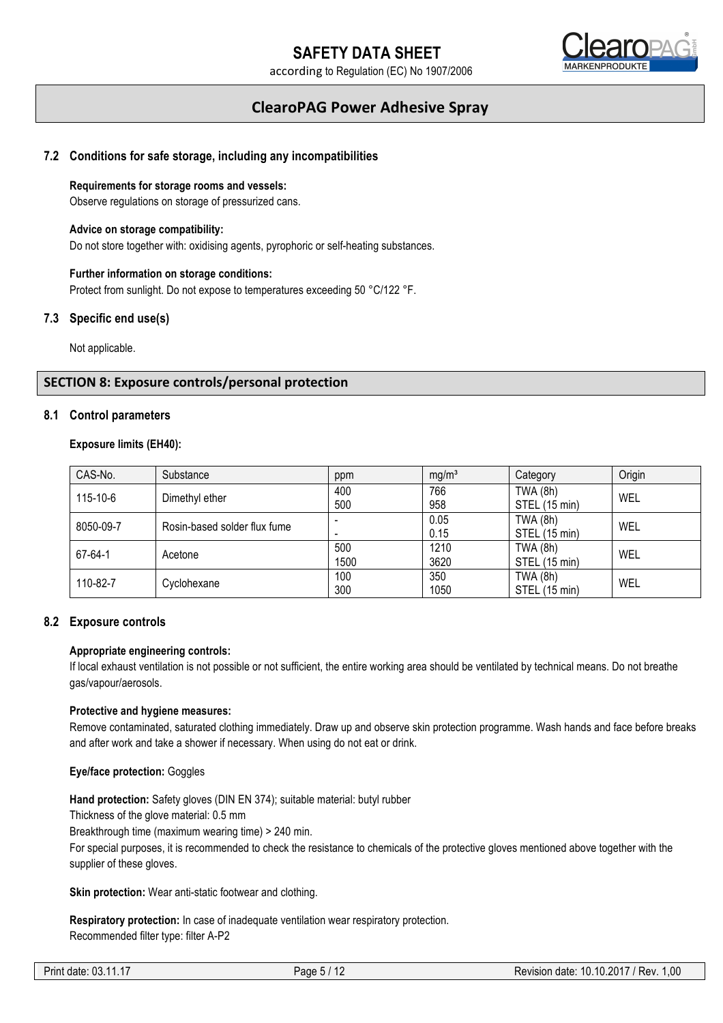

## **ClearoPAG Power Adhesive Spray**

## **7.2 Conditions for safe storage, including any incompatibilities**

#### **Requirements for storage rooms and vessels:**

Observe regulations on storage of pressurized cans.

#### **Advice on storage compatibility:**

Do not store together with: oxidising agents, pyrophoric or self-heating substances.

### **Further information on storage conditions:**

Protect from sunlight. Do not expose to temperatures exceeding 50 °C/122 °F.

#### **7.3 Specific end use(s)**

Not applicable.

## **SECTION 8: Exposure controls/personal protection**

#### **8.1 Control parameters**

#### **Exposure limits (EH40):**

| CAS-No.   | Substance                    | ppm  | mg/m <sup>3</sup> | Category        | Origin |  |
|-----------|------------------------------|------|-------------------|-----------------|--------|--|
| 115-10-6  | Dimethyl ether               | 400  | 766               | <b>TWA (8h)</b> | WEL    |  |
|           |                              | 500  | 958               | STEL (15 min)   |        |  |
| 8050-09-7 | Rosin-based solder flux fume |      | 0.05              | <b>TWA (8h)</b> | WEL    |  |
|           |                              |      | 0.15              | STEL (15 min)   |        |  |
| 67-64-1   | Acetone                      | 500  | 1210              | <b>TWA (8h)</b> | WEL    |  |
|           |                              | 1500 | 3620              | STEL (15 min)   |        |  |
| 110-82-7  | Cyclohexane                  | 100  | 350               | <b>TWA (8h)</b> | WEL    |  |
|           |                              | 300  | 1050              | STEL (15 min)   |        |  |

#### **8.2 Exposure controls**

#### **Appropriate engineering controls:**

If local exhaust ventilation is not possible or not sufficient, the entire working area should be ventilated by technical means. Do not breathe gas/vapour/aerosols.

#### **Protective and hygiene measures:**

Remove contaminated, saturated clothing immediately. Draw up and observe skin protection programme. Wash hands and face before breaks and after work and take a shower if necessary. When using do not eat or drink.

#### **Eye/face protection:** Goggles

**Hand protection:** Safety gloves (DIN EN 374); suitable material: butyl rubber

Thickness of the glove material: 0.5 mm

Breakthrough time (maximum wearing time) > 240 min.

For special purposes, it is recommended to check the resistance to chemicals of the protective gloves mentioned above together with the supplier of these gloves.

**Skin protection:** Wear anti-static footwear and clothing.

**Respiratory protection:** In case of inadequate ventilation wear respiratory protection. Recommended filter type: filter A-P2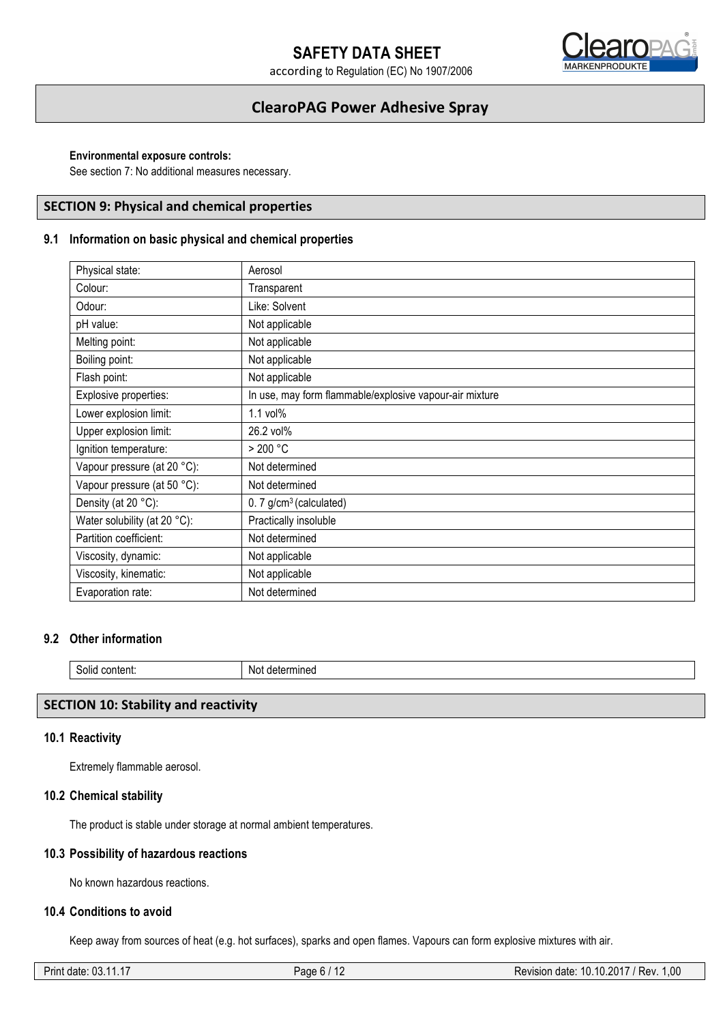# **SAFETY DATA SHEET**

according to Regulation (EC) No 1907/2006



## **ClearoPAG Power Adhesive Spray**

#### **Environmental exposure controls:**

See section 7: No additional measures necessary.

## **SECTION 9: Physical and chemical properties**

## **9.1 Information on basic physical and chemical properties**

| Physical state:              | Aerosol                                                 |
|------------------------------|---------------------------------------------------------|
| Colour:                      | Transparent                                             |
| Odour:                       | Like: Solvent                                           |
| pH value:                    | Not applicable                                          |
| Melting point:               | Not applicable                                          |
| Boiling point:               | Not applicable                                          |
| Flash point:                 | Not applicable                                          |
| Explosive properties:        | In use, may form flammable/explosive vapour-air mixture |
| Lower explosion limit:       | 1.1 vol%                                                |
| Upper explosion limit:       | 26.2 vol%                                               |
| Ignition temperature:        | $>$ 200 °C                                              |
| Vapour pressure (at 20 °C):  | Not determined                                          |
| Vapour pressure (at 50 °C):  | Not determined                                          |
| Density (at 20 °C):          | $0.7$ g/cm <sup>3</sup> (calculated)                    |
| Water solubility (at 20 °C): | Practically insoluble                                   |
| Partition coefficient:       | Not determined                                          |
| Viscosity, dynamic:          | Not applicable                                          |
| Viscosity, kinematic:        | Not applicable                                          |
| Evaporation rate:            | Not determined                                          |

## **9.2 Other information**

| -11<br>50110<br>content: | NΩ<br>⊡etermine |  |
|--------------------------|-----------------|--|
|--------------------------|-----------------|--|

#### **SECTION 10: Stability and reactivity**

#### **10.1 Reactivity**

Extremely flammable aerosol.

## **10.2 Chemical stability**

The product is stable under storage at normal ambient temperatures.

#### **10.3 Possibility of hazardous reactions**

No known hazardous reactions.

## **10.4 Conditions to avoid**

Keep away from sources of heat (e.g. hot surfaces), sparks and open flames. Vapours can form explosive mixtures with air.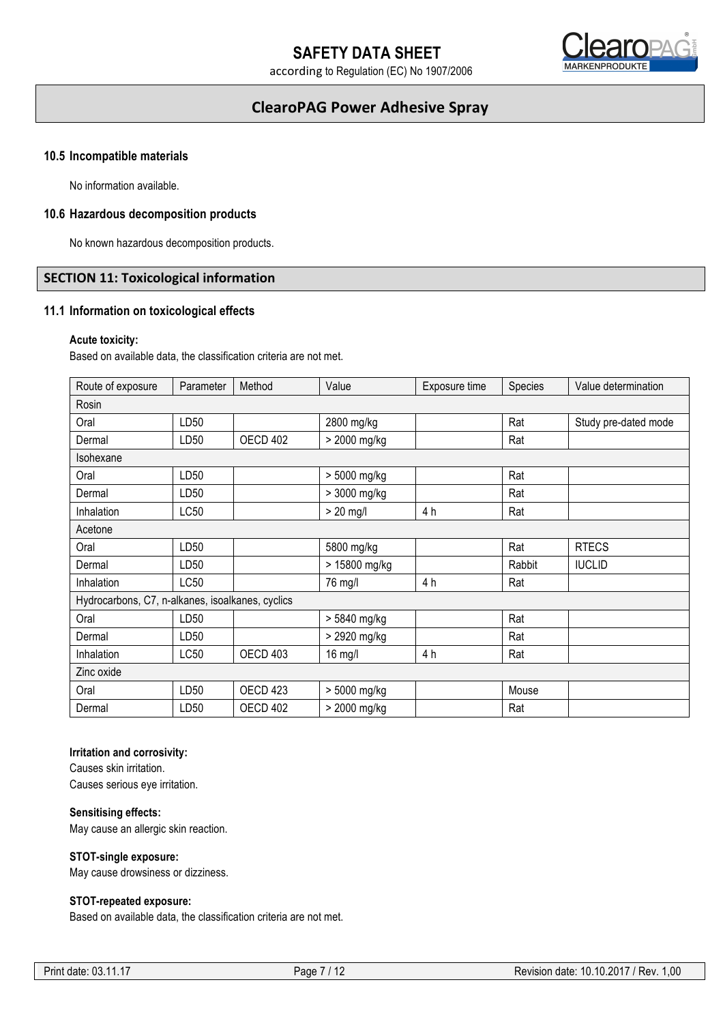

## **ClearoPAG Power Adhesive Spray**

#### **10.5 Incompatible materials**

No information available.

#### **10.6 Hazardous decomposition products**

No known hazardous decomposition products.

## **SECTION 11: Toxicological information**

#### **11.1 Information on toxicological effects**

#### **Acute toxicity:**

Based on available data, the classification criteria are not met.

| Route of exposure                                | Parameter        | Method              | Value         | Exposure time | Species | Value determination  |
|--------------------------------------------------|------------------|---------------------|---------------|---------------|---------|----------------------|
| Rosin                                            |                  |                     |               |               |         |                      |
| Oral                                             | LD50             |                     | 2800 mg/kg    |               | Rat     | Study pre-dated mode |
| Dermal                                           | LD <sub>50</sub> | OECD 402            | > 2000 mg/kg  |               | Rat     |                      |
| Isohexane                                        |                  |                     |               |               |         |                      |
| Oral                                             | LD50             |                     | > 5000 mg/kg  |               | Rat     |                      |
| Dermal                                           | LD <sub>50</sub> |                     | > 3000 mg/kg  |               | Rat     |                      |
| Inhalation                                       | LC50             |                     | $> 20$ mg/l   | 4 h           | Rat     |                      |
| Acetone                                          |                  |                     |               |               |         |                      |
| Oral                                             | LD <sub>50</sub> |                     | 5800 mg/kg    |               | Rat     | <b>RTECS</b>         |
| Dermal                                           | LD <sub>50</sub> |                     | > 15800 mg/kg |               | Rabbit  | <b>IUCLID</b>        |
| Inhalation                                       | LC50             |                     | 76 mg/l       | 4 h           | Rat     |                      |
| Hydrocarbons, C7, n-alkanes, isoalkanes, cyclics |                  |                     |               |               |         |                      |
| Oral                                             | LD <sub>50</sub> |                     | > 5840 mg/kg  |               | Rat     |                      |
| Dermal                                           | LD <sub>50</sub> |                     | > 2920 mg/kg  |               | Rat     |                      |
| Inhalation                                       | LC50             | OECD 403            | 16 mg/l       | 4 h           | Rat     |                      |
| Zinc oxide                                       |                  |                     |               |               |         |                      |
| Oral                                             | LD50             | OECD <sub>423</sub> | > 5000 mg/kg  |               | Mouse   |                      |
| Dermal                                           | LD <sub>50</sub> | OECD 402            | > 2000 mg/kg  |               | Rat     |                      |

## **Irritation and corrosivity:**

Causes skin irritation. Causes serious eye irritation.

#### **Sensitising effects:**

May cause an allergic skin reaction.

#### **STOT-single exposure:**

May cause drowsiness or dizziness.

## **STOT-repeated exposure:**

Based on available data, the classification criteria are not met.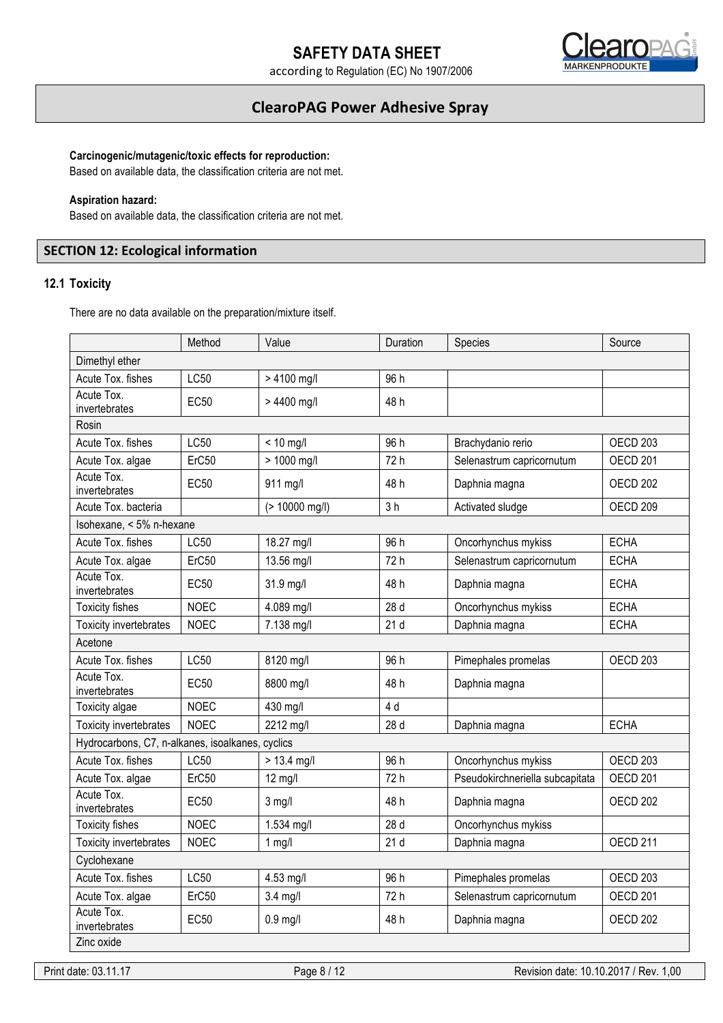

## **ClearoPAG Power Adhesive Spray**

### **Carcinogenic/mutagenic/toxic effects for reproduction:**

Based on available data, the classification criteria are not met.

#### **Aspiration hazard:**

Based on available data, the classification criteria are not met.

## **SECTION 12: Ecological information**

## **12.1 Toxicity**

There are no data available on the preparation/mixture itself.

|                                                  | Method      | Value          | Duration       | Species                         | Source              |
|--------------------------------------------------|-------------|----------------|----------------|---------------------------------|---------------------|
| Dimethyl ether                                   |             |                |                |                                 |                     |
| Acute Tox. fishes                                | LC50        | > 4100 mg/l    | 96 h           |                                 |                     |
| Acute Tox.<br>invertebrates                      | <b>EC50</b> | > 4400 mg/l    | 48 h           |                                 |                     |
| Rosin                                            |             |                |                |                                 |                     |
| Acute Tox. fishes                                | LC50        | $< 10$ mg/l    | 96 h           | Brachydanio rerio               | OECD <sub>203</sub> |
| Acute Tox. algae                                 | ErC50       | > 1000 mg/l    | 72 h           | Selenastrum capricornutum       | <b>OECD 201</b>     |
| Acute Tox.<br>invertebrates                      | <b>EC50</b> | 911 mg/l       | 48 h           | Daphnia magna                   | OECD <sub>202</sub> |
| Acute Tox. bacteria                              |             | (> 10000 mg/l) | 3 <sub>h</sub> | Activated sludge                | <b>OECD 209</b>     |
| Isohexane, < 5% n-hexane                         |             |                |                |                                 |                     |
| Acute Tox. fishes                                | LC50        | 18.27 mg/l     | 96 h           | Oncorhynchus mykiss             | <b>ECHA</b>         |
| Acute Tox. algae                                 | ErC50       | 13.56 mg/l     | 72 h           | Selenastrum capricornutum       | <b>ECHA</b>         |
| Acute Tox.<br>invertebrates                      | <b>EC50</b> | 31.9 mg/l      | 48 h           | Daphnia magna                   | <b>ECHA</b>         |
| <b>Toxicity fishes</b>                           | <b>NOEC</b> | 4.089 mg/l     | 28 d           | Oncorhynchus mykiss             | <b>ECHA</b>         |
| <b>Toxicity invertebrates</b>                    | <b>NOEC</b> | 7.138 mg/l     | 21d            | Daphnia magna                   | <b>ECHA</b>         |
| Acetone                                          |             |                |                |                                 |                     |
| Acute Tox. fishes                                | LC50        | 8120 mg/l      | 96 h           | Pimephales promelas             | OECD 203            |
| Acute Tox.<br>invertebrates                      | <b>EC50</b> | 8800 mg/l      | 48 h           | Daphnia magna                   |                     |
| Toxicity algae                                   | <b>NOEC</b> | 430 mg/l       | 4 d            |                                 |                     |
| Toxicity invertebrates                           | <b>NOEC</b> | 2212 mg/l      | 28 d           | Daphnia magna                   | <b>ECHA</b>         |
| Hydrocarbons, C7, n-alkanes, isoalkanes, cyclics |             |                |                |                                 |                     |
| Acute Tox. fishes                                | LC50        | $> 13.4$ mg/l  | 96 h           | Oncorhynchus mykiss             | OECD <sub>203</sub> |
| Acute Tox. algae                                 | ErC50       | $12$ mg/l      | 72 h           | Pseudokirchneriella subcapitata | <b>OECD 201</b>     |
| Acute Tox.<br>invertebrates                      | <b>EC50</b> | $3$ mg/l       | 48 h           | Daphnia magna                   | OECD <sub>202</sub> |
| <b>Toxicity fishes</b>                           | <b>NOEC</b> | 1.534 mg/l     | 28 d           | Oncorhynchus mykiss             |                     |
| Toxicity invertebrates                           | <b>NOEC</b> | $1$ mg/l       | 21d            | Daphnia magna                   | OECD <sub>211</sub> |
| Cyclohexane                                      |             |                |                |                                 |                     |
| Acute Tox. fishes                                | LC50        | 4.53 mg/l      | 96 h           | Pimephales promelas             | OECD <sub>203</sub> |
| Acute Tox. algae                                 | ErC50       | $3.4$ mg/l     | 72 h           | Selenastrum capricornutum       | <b>OECD 201</b>     |
| Acute Tox.<br>invertebrates                      | <b>EC50</b> | $0.9$ mg/l     | 48 h           | Daphnia magna                   | OECD <sub>202</sub> |
| Zinc oxide                                       |             |                |                |                                 |                     |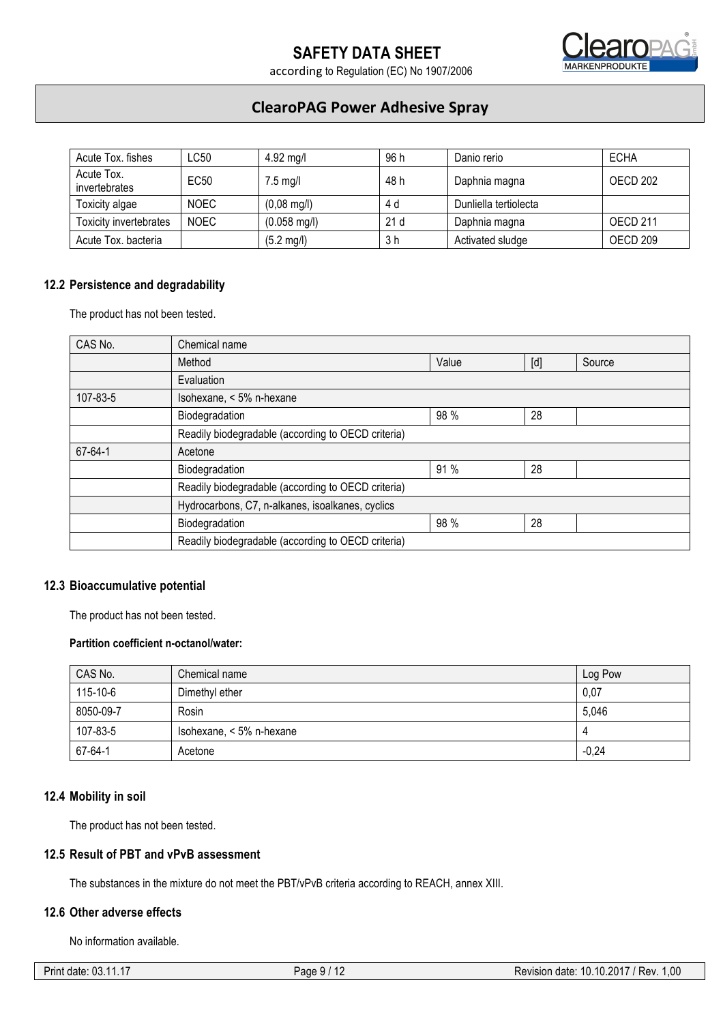

## **ClearoPAG Power Adhesive Spray**

| Acute Tox. fishes           | LC50        | 4.92 mg/l             | 96 h | Danio rerio           | <b>ECHA</b>     |
|-----------------------------|-------------|-----------------------|------|-----------------------|-----------------|
| Acute Tox.<br>invertebrates | EC50        | $7.5$ mg/l            | 48 h | Daphnia magna         | OECD 202        |
| Toxicity algae              | <b>NOEC</b> | $(0,08 \text{ mg/l})$ | 4 d  | Dunliella tertiolecta |                 |
| Toxicity invertebrates      | <b>NOEC</b> | $(0.058$ mg/l)        | 21d  | Daphnia magna         | <b>OECD 211</b> |
| Acute Tox, bacteria         |             | $(5.2 \text{ mg/l})$  | 3 h  | Activated sludge      | OECD 209        |

## **12.2 Persistence and degradability**

The product has not been tested.

| CAS No.  | Chemical name                                      |       |     |        |  |  |
|----------|----------------------------------------------------|-------|-----|--------|--|--|
|          | Method                                             | Value | [d] | Source |  |  |
|          | Evaluation                                         |       |     |        |  |  |
| 107-83-5 | Isohexane, < 5% n-hexane                           |       |     |        |  |  |
|          | Biodegradation                                     | 98 %  | 28  |        |  |  |
|          | Readily biodegradable (according to OECD criteria) |       |     |        |  |  |
| 67-64-1  | Acetone                                            |       |     |        |  |  |
|          | 91 %<br>28<br>Biodegradation                       |       |     |        |  |  |
|          | Readily biodegradable (according to OECD criteria) |       |     |        |  |  |
|          | Hydrocarbons, C7, n-alkanes, isoalkanes, cyclics   |       |     |        |  |  |
|          | Biodegradation                                     | 98 %  | 28  |        |  |  |
|          | Readily biodegradable (according to OECD criteria) |       |     |        |  |  |

## **12.3 Bioaccumulative potential**

The product has not been tested.

### **Partition coefficient n-octanol/water:**

| CAS No.   | Chemical name            | Log Pow |
|-----------|--------------------------|---------|
| 115-10-6  | Dimethyl ether           | 0,07    |
| 8050-09-7 | Rosin                    | 5,046   |
| 107-83-5  | Isohexane, < 5% n-hexane |         |
| 67-64-1   | Acetone                  | $-0,24$ |

#### **12.4 Mobility in soil**

The product has not been tested.

## **12.5 Result of PBT and vPvB assessment**

The substances in the mixture do not meet the PBT/vPvB criteria according to REACH, annex XIII.

## **12.6 Other adverse effects**

No information available.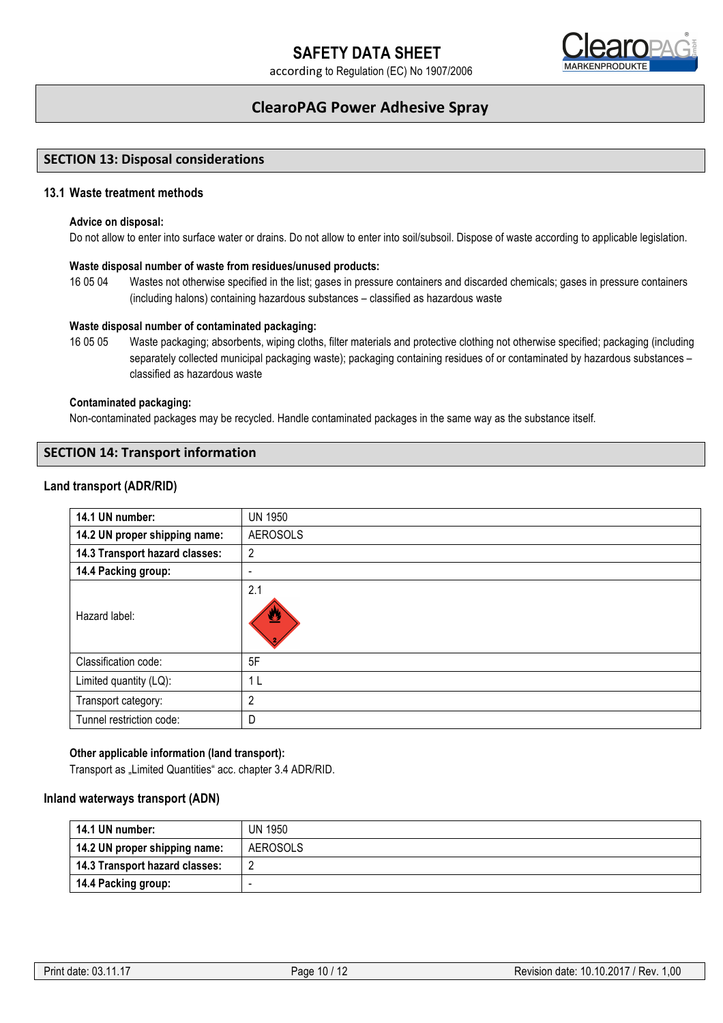

## **ClearoPAG Power Adhesive Spray**

## **SECTION 13: Disposal considerations**

## **13.1 Waste treatment methods**

#### **Advice on disposal:**

Do not allow to enter into surface water or drains. Do not allow to enter into soil/subsoil. Dispose of waste according to applicable legislation.

#### **Waste disposal number of waste from residues/unused products:**

16 05 04 Wastes not otherwise specified in the list; gases in pressure containers and discarded chemicals; gases in pressure containers (including halons) containing hazardous substances – classified as hazardous waste

#### **Waste disposal number of contaminated packaging:**

16 05 05 Waste packaging; absorbents, wiping cloths, filter materials and protective clothing not otherwise specified; packaging (including separately collected municipal packaging waste); packaging containing residues of or contaminated by hazardous substances – classified as hazardous waste

#### **Contaminated packaging:**

Non-contaminated packages may be recycled. Handle contaminated packages in the same way as the substance itself.

## **SECTION 14: Transport information**

### **Land transport (ADR/RID)**

| 14.1 UN number:                | <b>UN 1950</b>  |
|--------------------------------|-----------------|
| 14.2 UN proper shipping name:  | <b>AEROSOLS</b> |
| 14.3 Transport hazard classes: | 2               |
| 14.4 Packing group:            | ٠               |
| Hazard label:                  | 2.1<br>≝        |
| Classification code:           | 5F              |
| Limited quantity (LQ):         | 1 L             |
| Transport category:            | 2               |
| Tunnel restriction code:       | D               |

### **Other applicable information (land transport):**

Transport as "Limited Quantities" acc. chapter 3.4 ADR/RID.

#### **Inland waterways transport (ADN)**

| 14.1 UN number:                | <b>UN 1950</b> |
|--------------------------------|----------------|
| 14.2 UN proper shipping name:  | AEROSOLS       |
| 14.3 Transport hazard classes: |                |
| 14.4 Packing group:            |                |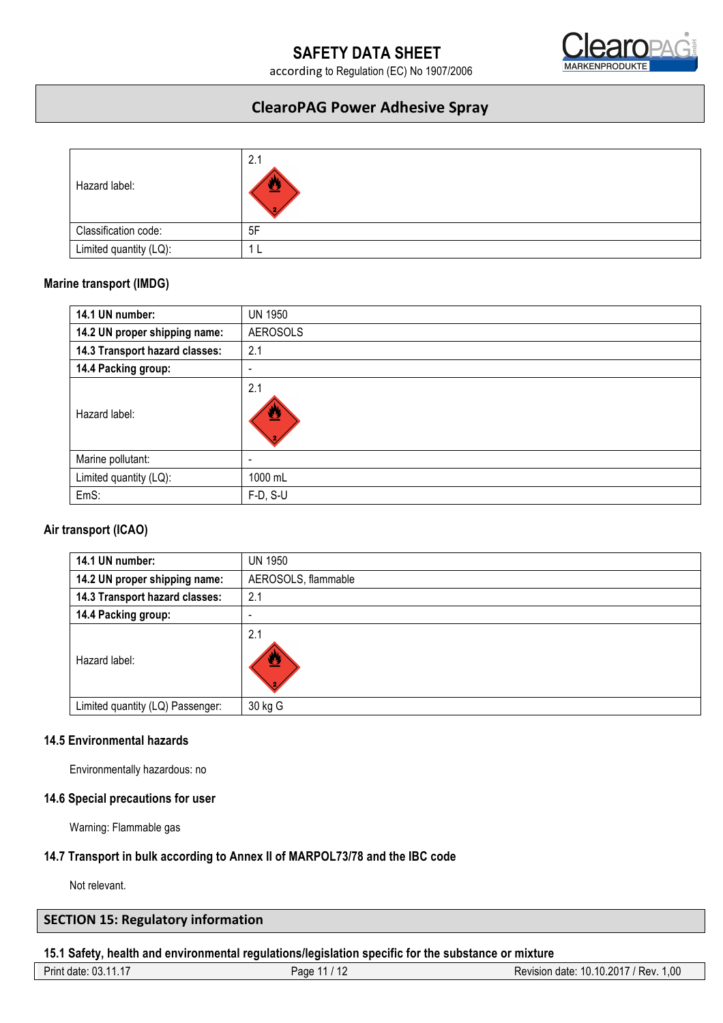

## **ClearoPAG Power Adhesive Spray**

| Hazard label:          | 2.1 |
|------------------------|-----|
| Classification code:   | 5F  |
| Limited quantity (LQ): |     |

## **Marine transport (IMDG)**

| 14.1 UN number:                | <b>UN 1950</b>           |
|--------------------------------|--------------------------|
| 14.2 UN proper shipping name:  | <b>AEROSOLS</b>          |
| 14.3 Transport hazard classes: | 2.1                      |
| 14.4 Packing group:            | $\overline{\phantom{0}}$ |
| Hazard label:                  | 2.1<br>營                 |
| Marine pollutant:              | $\overline{\phantom{0}}$ |
| Limited quantity (LQ):         | 1000 mL                  |
| EmS:                           | $F-D, S-U$               |

## **Air transport (ICAO)**

| 14.1 UN number:                  | <b>UN 1950</b>      |
|----------------------------------|---------------------|
| 14.2 UN proper shipping name:    | AEROSOLS, flammable |
| 14.3 Transport hazard classes:   | 2.1                 |
| 14.4 Packing group:              |                     |
| Hazard label:                    | 2.1<br>營            |
| Limited quantity (LQ) Passenger: | 30 kg G             |

## **14.5 Environmental hazards**

Environmentally hazardous: no

## **14.6 Special precautions for user**

Warning: Flammable gas

## **14.7 Transport in bulk according to Annex II of MARPOL73/78 and the IBC code**

Not relevant.

| <b>SECTION 15: Regulatory information</b> |  |
|-------------------------------------------|--|
|-------------------------------------------|--|

## **15.1 Safety, health and environmental regulations/legislation specific for the substance or mixture**

| $\ddot{\phantom{0}}$<br>Print<br>date<br><b>UJ.II.I</b> | Paα | 00.1<br>.10.2017<br>. .<br>IU.1<br>Rev<br>date<br>Revision |
|---------------------------------------------------------|-----|------------------------------------------------------------|
|                                                         |     |                                                            |